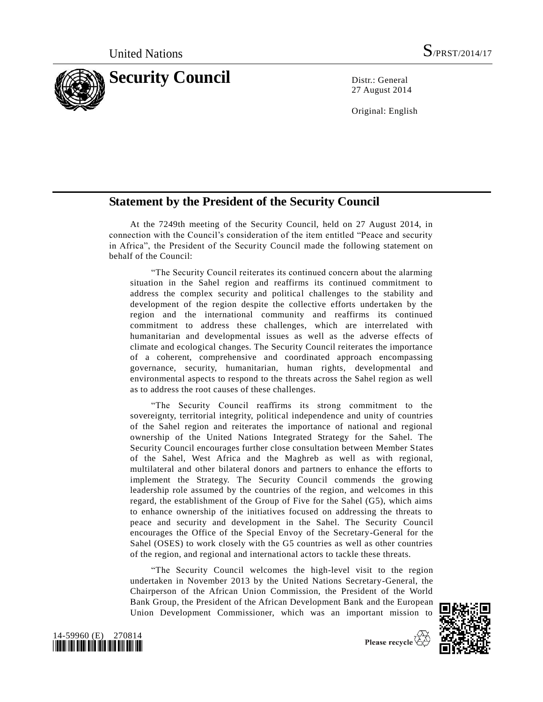

27 August 2014

Original: English

## **Statement by the President of the Security Council**

At the 7249th meeting of the Security Council, held on 27 August 2014, in connection with the Council's consideration of the item entitled "Peace and security in Africa", the President of the Security Council made the following statement on behalf of the Council:

"The Security Council reiterates its continued concern about the alarming situation in the Sahel region and reaffirms its continued commitment to address the complex security and political challenges to the stability and development of the region despite the collective efforts undertaken by the region and the international community and reaffirms its continued commitment to address these challenges, which are interrelated with humanitarian and developmental issues as well as the adverse effects of climate and ecological changes. The Security Council reiterates the importance of a coherent, comprehensive and coordinated approach encompassing governance, security, humanitarian, human rights, developmental and environmental aspects to respond to the threats across the Sahel region as well as to address the root causes of these challenges.

"The Security Council reaffirms its strong commitment to the sovereignty, territorial integrity, political independence and unity of countries of the Sahel region and reiterates the importance of national and regional ownership of the United Nations Integrated Strategy for the Sahel. The Security Council encourages further close consultation between Member States of the Sahel, West Africa and the Maghreb as well as with regional, multilateral and other bilateral donors and partners to enhance the efforts to implement the Strategy. The Security Council commends the growing leadership role assumed by the countries of the region, and welcomes in this regard, the establishment of the Group of Five for the Sahel (G5), which aims to enhance ownership of the initiatives focused on addressing the threats to peace and security and development in the Sahel. The Security Council encourages the Office of the Special Envoy of the Secretary-General for the Sahel (OSES) to work closely with the G5 countries as well as other countries of the region, and regional and international actors to tackle these threats.

"The Security Council welcomes the high-level visit to the region undertaken in November 2013 by the United Nations Secretary-General, the Chairperson of the African Union Commission, the President of the World Bank Group, the President of the African Development Bank and the European Union Development Commissioner, which was an important mission to



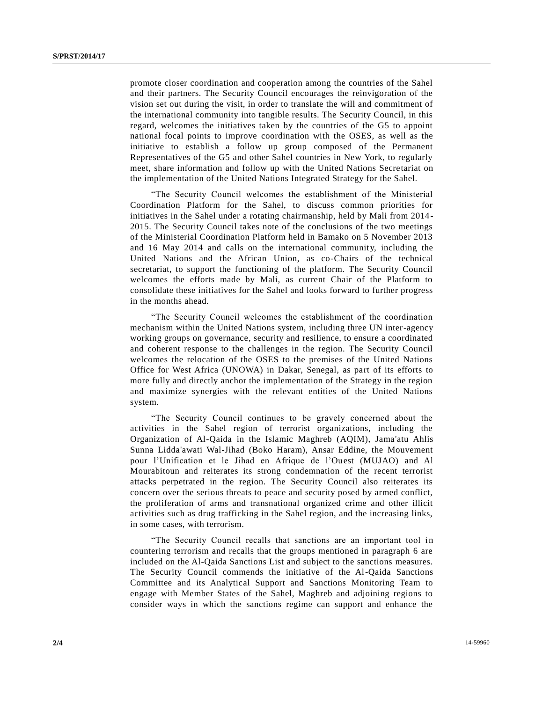promote closer coordination and cooperation among the countries of the Sahel and their partners. The Security Council encourages the reinvigoration of the vision set out during the visit, in order to translate the will and commitment of the international community into tangible results. The Security Council, in this regard, welcomes the initiatives taken by the countries of the G5 to appoint national focal points to improve coordination with the OSES, as well as the initiative to establish a follow up group composed of the Permanent Representatives of the G5 and other Sahel countries in New York, to regularly meet, share information and follow up with the United Nations Secretariat on the implementation of the United Nations Integrated Strategy for the Sahel.

"The Security Council welcomes the establishment of the Ministerial Coordination Platform for the Sahel, to discuss common priorities for initiatives in the Sahel under a rotating chairmanship, held by Mali from 2014- 2015. The Security Council takes note of the conclusions of the two meetings of the Ministerial Coordination Platform held in Bamako on 5 November 2013 and 16 May 2014 and calls on the international community, including the United Nations and the African Union, as co-Chairs of the technical secretariat, to support the functioning of the platform. The Security Council welcomes the efforts made by Mali, as current Chair of the Platform to consolidate these initiatives for the Sahel and looks forward to further progress in the months ahead.

"The Security Council welcomes the establishment of the coordination mechanism within the United Nations system, including three UN inter-agency working groups on governance, security and resilience, to ensure a coordinated and coherent response to the challenges in the region. The Security Council welcomes the relocation of the OSES to the premises of the United Nations Office for West Africa (UNOWA) in Dakar, Senegal, as part of its efforts to more fully and directly anchor the implementation of the Strategy in the region and maximize synergies with the relevant entities of the United Nations system.

"The Security Council continues to be gravely concerned about the activities in the Sahel region of terrorist organizations, including the Organization of Al-Qaida in the Islamic Maghreb (AQIM), Jama'atu Ahlis Sunna Lidda'awati Wal-Jihad (Boko Haram), Ansar Eddine, the Mouvement pour l'Unification et le Jihad en Afrique de l'Ouest (MUJAO) and Al Mourabitoun and reiterates its strong condemnation of the recent terrorist attacks perpetrated in the region. The Security Council also reiterates its concern over the serious threats to peace and security posed by armed conflict, the proliferation of arms and transnational organized crime and other illicit activities such as drug trafficking in the Sahel region, and the increasing links, in some cases, with terrorism.

"The Security Council recalls that sanctions are an important tool in countering terrorism and recalls that the groups mentioned in paragraph 6 are included on the Al-Qaida Sanctions List and subject to the sanctions measures. The Security Council commends the initiative of the Al-Qaida Sanctions Committee and its Analytical Support and Sanctions Monitoring Team to engage with Member States of the Sahel, Maghreb and adjoining regions to consider ways in which the sanctions regime can support and enhance the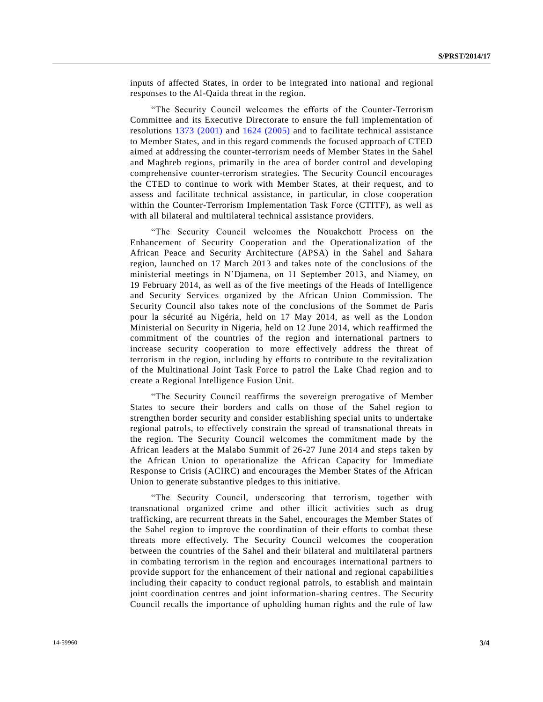inputs of affected States, in order to be integrated into national and regional responses to the Al-Qaida threat in the region.

"The Security Council welcomes the efforts of the Counter-Terrorism Committee and its Executive Directorate to ensure the full implementation of resolutions [1373 \(2001\)](http://undocs.org/S/RES/1373(2001)) and [1624 \(2005\)](http://undocs.org/S/RES/1624(2005)) and to facilitate technical assistance to Member States, and in this regard commends the focused approach of CTED aimed at addressing the counter-terrorism needs of Member States in the Sahel and Maghreb regions, primarily in the area of border control and developing comprehensive counter-terrorism strategies. The Security Council encourages the CTED to continue to work with Member States, at their request, and to assess and facilitate technical assistance, in particular, in close cooperation within the Counter-Terrorism Implementation Task Force (CTITF), as well as with all bilateral and multilateral technical assistance providers.

"The Security Council welcomes the Nouakchott Process on the Enhancement of Security Cooperation and the Operationalization of the African Peace and Security Architecture (APSA) in the Sahel and Sahara region, launched on 17 March 2013 and takes note of the conclusions of the ministerial meetings in N'Djamena, on 11 September 2013, and Niamey, on 19 February 2014, as well as of the five meetings of the Heads of Intelligence and Security Services organized by the African Union Commission. The Security Council also takes note of the conclusions of the Sommet de Paris pour la sécurité au Nigéria, held on 17 May 2014, as well as the London Ministerial on Security in Nigeria, held on 12 June 2014, which reaffirmed the commitment of the countries of the region and international partners to increase security cooperation to more effectively address the threat of terrorism in the region, including by efforts to contribute to the revitalization of the Multinational Joint Task Force to patrol the Lake Chad region and to create a Regional Intelligence Fusion Unit.

"The Security Council reaffirms the sovereign prerogative of Member States to secure their borders and calls on those of the Sahel region to strengthen border security and consider establishing special units to undertake regional patrols, to effectively constrain the spread of transnational threats in the region. The Security Council welcomes the commitment made by the African leaders at the Malabo Summit of 26-27 June 2014 and steps taken by the African Union to operationalize the African Capacity for Immediate Response to Crisis (ACIRC) and encourages the Member States of the African Union to generate substantive pledges to this initiative.

"The Security Council, underscoring that terrorism, together with transnational organized crime and other illicit activities such as drug trafficking, are recurrent threats in the Sahel, encourages the Member States of the Sahel region to improve the coordination of their efforts to combat these threats more effectively. The Security Council welcomes the cooperation between the countries of the Sahel and their bilateral and multilateral partners in combating terrorism in the region and encourages international partners to provide support for the enhancement of their national and regional capabilitie s including their capacity to conduct regional patrols, to establish and maintain joint coordination centres and joint information-sharing centres. The Security Council recalls the importance of upholding human rights and the rule of law